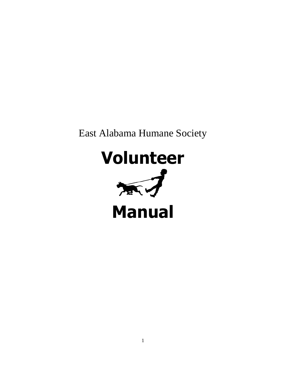# East Alabama Humane Society

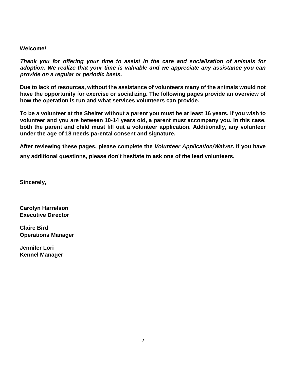#### **Welcome!**

*Thank you for offering your time to assist in the care and socialization of animals for adoption. We realize that your time is valuable and we appreciate any assistance you can provide on a regular or periodic basis.*

**Due to lack of resources, without the assistance of volunteers many of the animals would not have the opportunity for exercise or socializing. The following pages provide an overview of how the operation is run and what services volunteers can provide.**

**To be a volunteer at the Shelter without a parent you must be at least 16 years. If you wish to volunteer and you are between 10-14 years old, a parent must accompany you. In this case, both the parent and child must fill out a volunteer application. Additionally, any volunteer under the age of 18 needs parental consent and signature.**

**After reviewing these pages, please complete the** *Volunteer Application/Waiver***. If you have any additional questions, please don't hesitate to ask one of the lead volunteers.**

**Sincerely,**

**Carolyn Harrelson Executive Director**

**Claire Bird Operations Manager**

**Jennifer Lori Kennel Manager**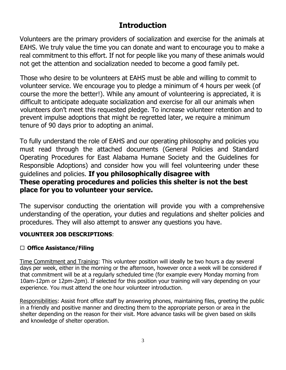## **Introduction**

Volunteers are the primary providers of socialization and exercise for the animals at EAHS. We truly value the time you can donate and want to encourage you to make a real commitment to this effort. If not for people like you many of these animals would not get the attention and socialization needed to become a good family pet.

Those who desire to be volunteers at EAHS must be able and willing to commit to volunteer service. We encourage you to pledge a minimum of 4 hours per week (of course the more the better!). While any amount of volunteering is appreciated, it is difficult to anticipate adequate socialization and exercise for all our animals when volunteers don't meet this requested pledge. To increase volunteer retention and to prevent impulse adoptions that might be regretted later, we require a minimum tenure of 90 days prior to adopting an animal.

To fully understand the role of EAHS and our operating philosophy and policies you must read through the attached documents (General Policies and Standard Operating Procedures for East Alabama Humane Society and the Guidelines for Responsible Adoptions) and consider how you will feel volunteering under these guidelines and policies. **If you philosophically disagree with These operating procedures and policies this shelter is not the best place for you to volunteer your service.**

The supervisor conducting the orientation will provide you with a comprehensive understanding of the operation, your duties and regulations and shelter policies and procedures. They will also attempt to answer any questions you have.

## **VOLUNTEER JOB DESCRIPTIONS**:

## **Office Assistance/Filing**

Time Commitment and Training: This volunteer position will ideally be two hours a day several days per week, either in the morning or the afternoon, however once a week will be considered if that commitment will be at a regularly scheduled time (for example every Monday morning from 10am-12pm or 12pm-2pm). If selected for this position your training will vary depending on your experience. You must attend the one hour volunteer introduction.

Responsibilities: Assist front office staff by answering phones, maintaining files, greeting the public in a friendly and positive manner and directing them to the appropriate person or area in the shelter depending on the reason for their visit. More advance tasks will be given based on skills and knowledge of shelter operation.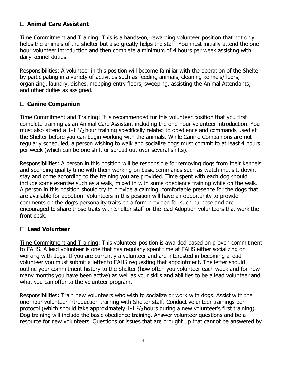## **Animal Care Assistant**

Time Commitment and Training: This is a hands-on, rewarding volunteer position that not only helps the animals of the shelter but also greatly helps the staff. You must initially attend the one hour volunteer introduction and then complete a minimum of 4 hours per week assisting with daily kennel duties.

Responsibilities: A volunteer in this position will become familiar with the operation of the Shelter by participating in a variety of activities such as feeding animals, cleaning kennels/floors, organizing, laundry, dishes, mopping entry floors, sweeping, assisting the Animal Attendants, and other duties as assigned.

## **Canine Companion**

Time Commitment and Training: It is recommended for this volunteer position that you first complete training as an Animal Care Assistant including the one-hour volunteer introduction. You must also attend a 1-1  $\frac{1}{2}$  hour training specifically related to obedience and commands used at the Shelter before you can begin working with the animals. While Canine Companions are not regularly scheduled, a person wishing to walk and socialize dogs must commit to at least 4 hours per week (which can be one shift or spread out over several shifts).

Responsibilities: A person in this position will be responsible for removing dogs from their kennels and spending quality time with them working on basic commands such as watch me, sit, down, stay and come according to the training you are provided. Time spent with each dog should include some exercise such as a walk, mixed in with some obedience training while on the walk. A person in this position should try to provide a calming, comfortable presence for the dogs that are available for adoption. Volunteers in this position will have an opportunity to provide comments on the dog's personality traits on a form provided for such purpose and are encouraged to share those traits with Shelter staff or the lead Adoption volunteers that work the front desk.

## **Lead Volunteer**

Time Commitment and Training: This volunteer position is awarded based on proven commitment to EAHS. A lead volunteer is one that has regularly spent time at EAHS either socializing or working with dogs. If you are currently a volunteer and are interested in becoming a lead volunteer you must submit a letter to EAHS requesting that appointment. The letter should outline your commitment history to the Shelter (how often you volunteer each week and for how many months you have been active) as well as your skills and abilities to be a lead volunteer and what you can offer to the volunteer program.

Responsibilities: Train new volunteers who wish to socialize or work with dogs. Assist with the one-hour volunteer introduction training with Shelter staff. Conduct volunteer trainings per protocol (which should take approximately  $1-1$   $\frac{1}{2}$  hours during a new volunteer's first training). Dog training will include the basic obedience training. Answer volunteer questions and be a resource for new volunteers. Questions or issues that are brought up that cannot be answered by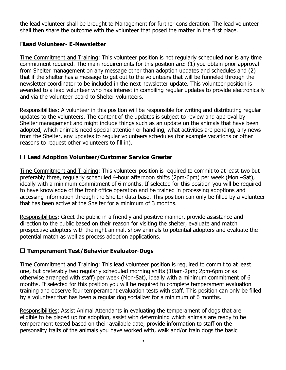the lead volunteer shall be brought to Management for further consideration. The lead volunteer shall then share the outcome with the volunteer that posed the matter in the first place.

## **Lead Volunteer- E-Newsletter**

Time Commitment and Training: This volunteer position is not regularly scheduled nor is any time commitment required. The main requirements for this position are: (1) you obtain prior approval from Shelter management on any message other than adoption updates and schedules and (2) that if the shelter has a message to get out to the volunteers that will be funneled through the newsletter coordinator to be included in the next newsletter update. This volunteer position is awarded to a lead volunteer who has interest in compiling regular updates to provide electronically and via the volunteer board to Shelter volunteers.

Responsibilities: A volunteer in this position will be responsible for writing and distributing regular updates to the volunteers. The content of the updates is subject to review and approval by Shelter management and might include things such as an update on the animals that have been adopted, which animals need special attention or handling, what activities are pending, any news from the Shelter, any updates to regular volunteers schedules (for example vacations or other reasons to request other volunteers to fill in).

## **Lead Adoption Volunteer/Customer Service Greeter**

Time Commitment and Training: This volunteer position is required to commit to at least two but preferably three, regularly scheduled 4-hour afternoon shifts (2pm-6pm) per week (Mon –Sat), ideally with a minimum commitment of 6 months. If selected for this position you will be required to have knowledge of the front office operation and be trained in processing adoptions and accessing information through the Shelter data base. This position can only be filled by a volunteer that has been active at the Shelter for a minimum of 3 months.

Responsibilities: Greet the public in a friendly and positive manner, provide assistance and direction to the public based on their reason for visiting the shelter, evaluate and match prospective adopters with the right animal, show animals to potential adopters and evaluate the potential match as well as process adoption applications.

## **Temperament Test/Behavior Evaluator-Dogs**

Time Commitment and Training: This lead volunteer position is required to commit to at least one, but preferably two regularly scheduled morning shifts (10am-2pm; 2pm-6pm or as otherwise arranged with staff) per week (Mon-Sat), ideally with a minimum commitment of 6 months. If selected for this position you will be required to complete temperament evaluation training and observe four temperament evaluation tests with staff. This position can only be filled by a volunteer that has been a regular dog socializer for a minimum of 6 months.

Responsibilities: Assist Animal Attendants in evaluating the temperament of dogs that are eligible to be placed up for adoption, assist with determining which animals are ready to be temperament tested based on their available date, provide information to staff on the personality traits of the animals you have worked with, walk and/or train dogs the basic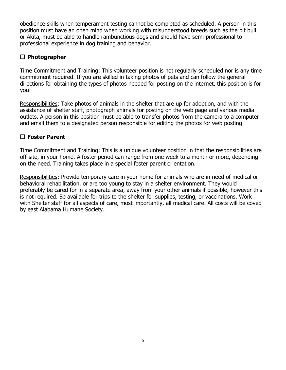obedience skills when temperament testing cannot be completed as scheduled. A person in this position must have an open mind when working with misunderstood breeds such as the pit bull or Akita, must be able to handle rambunctious dogs and should have semi-professional to professional experience in dog training and behavior.

## **Photographer**

Time Commitment and Training: This volunteer position is not regularly scheduled nor is any time commitment required. If you are skilled in taking photos of pets and can follow the general directions for obtaining the types of photos needed for posting on the internet, this position is for you!

Responsibilities: Take photos of animals in the shelter that are up for adoption, and with the assistance of shelter staff, photograph animals for posting on the web page and various media outlets. A person in this position must be able to transfer photos from the camera to a computer and email them to a designated person responsible for editing the photos for web posting.

## **Foster Parent**

Time Commitment and Training: This is a unique volunteer position in that the responsibilities are off-site, in your home. A foster period can range from one week to a month or more, depending on the need. Training takes place in a special foster parent orientation.

Responsibilities: Provide temporary care in your home for animals who are in need of medical or behavioral rehabilitation, or are too young to stay in a shelter environment. They would preferably be cared for in a separate area, away from your other animals if possible, however this is not required. Be available for trips to the shelter for supplies, testing, or vaccinations. Work with Shelter staff for all aspects of care, most importantly, all medical care. All costs will be coved by east Alabama Humane Society.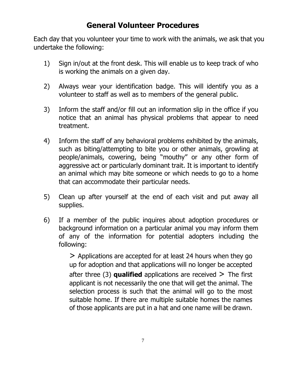## **General Volunteer Procedures**

Each day that you volunteer your time to work with the animals, we ask that you undertake the following:

- 1) Sign in/out at the front desk. This will enable us to keep track of who is working the animals on a given day.
- 2) Always wear your identification badge. This will identify you as a volunteer to staff as well as to members of the general public.
- 3) Inform the staff and/or fill out an information slip in the office if you notice that an animal has physical problems that appear to need treatment.
- 4) Inform the staff of any behavioral problems exhibited by the animals, such as biting/attempting to bite you or other animals, growling at people/animals, cowering, being "mouthy" or any other form of aggressive act or particularly dominant trait. It is important to identify an animal which may bite someone or which needs to go to a home that can accommodate their particular needs.
- 5) Clean up after yourself at the end of each visit and put away all supplies.
- 6) If a member of the public inquires about adoption procedures or background information on a particular animal you may inform them of any of the information for potential adopters including the following:

> Applications are accepted for at least 24 hours when they go up for adoption and that applications will no longer be accepted after three  $(3)$  **qualified** applications are received  $\geq$  The first applicant is not necessarily the one that will get the animal. The selection process is such that the animal will go to the most suitable home. If there are multiple suitable homes the names of those applicants are put in a hat and one name will be drawn.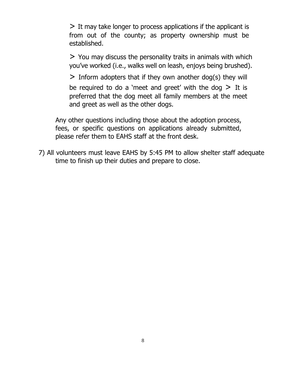> It may take longer to process applications if the applicant is from out of the county; as property ownership must be established.

> You may discuss the personality traits in animals with which you've worked (i.e., walks well on leash, enjoys being brushed).

 $>$  Inform adopters that if they own another dog(s) they will be required to do a 'meet and greet' with the dog  $>$  It is preferred that the dog meet all family members at the meet and greet as well as the other dogs.

Any other questions including those about the adoption process, fees, or specific questions on applications already submitted, please refer them to EAHS staff at the front desk.

7) All volunteers must leave EAHS by 5:45 PM to allow shelter staff adequate time to finish up their duties and prepare to close.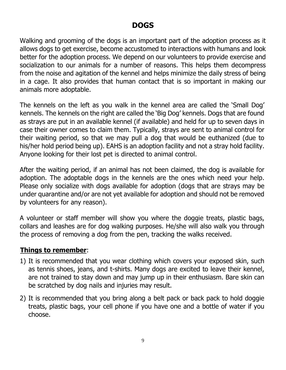## **DOGS**

Walking and grooming of the dogs is an important part of the adoption process as it allows dogs to get exercise, become accustomed to interactions with humans and look better for the adoption process. We depend on our volunteers to provide exercise and socialization to our animals for a number of reasons. This helps them decompress from the noise and agitation of the kennel and helps minimize the daily stress of being in a cage. It also provides that human contact that is so important in making our animals more adoptable.

The kennels on the left as you walk in the kennel area are called the 'Small Dog' kennels. The kennels on the right are called the 'Big Dog' kennels. Dogs that are found as strays are put in an available kennel (if available) and held for up to seven days in case their owner comes to claim them. Typically, strays are sent to animal control for their waiting period, so that we may pull a dog that would be euthanized (due to his/her hold period being up). EAHS is an adoption facility and not a stray hold facility. Anyone looking for their lost pet is directed to animal control.

After the waiting period, if an animal has not been claimed, the dog is available for adoption. The adoptable dogs in the kennels are the ones which need your help. Please only socialize with dogs available for adoption (dogs that are strays may be under quarantine and/or are not yet available for adoption and should not be removed by volunteers for any reason).

A volunteer or staff member will show you where the doggie treats, plastic bags, collars and leashes are for dog walking purposes. He/she will also walk you through the process of removing a dog from the pen, tracking the walks received.

## **Things to remember**:

- 1) It is recommended that you wear clothing which covers your exposed skin, such as tennis shoes, jeans, and t-shirts. Many dogs are excited to leave their kennel, are not trained to stay down and may jump up in their enthusiasm. Bare skin can be scratched by dog nails and injuries may result.
- 2) It is recommended that you bring along a belt pack or back pack to hold doggie treats, plastic bags, your cell phone if you have one and a bottle of water if you choose.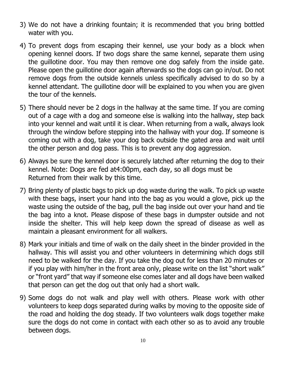- 3) We do not have a drinking fountain; it is recommended that you bring bottled water with you.
- 4) To prevent dogs from escaping their kennel, use your body as a block when opening kennel doors. If two dogs share the same kennel, separate them using the guillotine door. You may then remove one dog safely from the inside gate. Please open the guillotine door again afterwards so the dogs can go in/out. Do not remove dogs from the outside kennels unless specifically advised to do so by a kennel attendant. The guillotine door will be explained to you when you are given the tour of the kennels.
- 5) There should never be 2 dogs in the hallway at the same time. If you are coming out of a cage with a dog and someone else is walking into the hallway, step back into your kennel and wait until it is clear. When returning from a walk, always look through the window before stepping into the hallway with your dog. If someone is coming out with a dog, take your dog back outside the gated area and wait until the other person and dog pass. This is to prevent any dog aggression.
- 6) Always be sure the kennel door is securely latched after returning the dog to their kennel. Note: Dogs are fed at4:00pm, each day, so all dogs must be Returned from their walk by this time.
- 7) Bring plenty of plastic bags to pick up dog waste during the walk. To pick up waste with these bags, insert your hand into the bag as you would a glove, pick up the waste using the outside of the bag, pull the bag inside out over your hand and tie the bag into a knot. Please dispose of these bags in dumpster outside and not inside the shelter. This will help keep down the spread of disease as well as maintain a pleasant environment for all walkers.
- 8) Mark your initials and time of walk on the daily sheet in the binder provided in the hallway. This will assist you and other volunteers in determining which dogs still need to be walked for the day. If you take the dog out for less than 20 minutes or if you play with him/her in the front area only, please write on the list "short walk" or "front yard" that way if someone else comes later and all dogs have been walked that person can get the dog out that only had a short walk.
- 9) Some dogs do not walk and play well with others. Please work with other volunteers to keep dogs separated during walks by moving to the opposite side of the road and holding the dog steady. If two volunteers walk dogs together make sure the dogs do not come in contact with each other so as to avoid any trouble between dogs.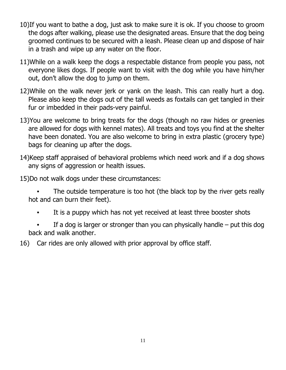- 10)If you want to bathe a dog, just ask to make sure it is ok. If you choose to groom the dogs after walking, please use the designated areas. Ensure that the dog being groomed continues to be secured with a leash. Please clean up and dispose of hair in a trash and wipe up any water on the floor.
- 11)While on a walk keep the dogs a respectable distance from people you pass, not everyone likes dogs. If people want to visit with the dog while you have him/her out, don't allow the dog to jump on them.
- 12)While on the walk never jerk or yank on the leash. This can really hurt a dog. Please also keep the dogs out of the tall weeds as foxtails can get tangled in their fur or imbedded in their pads-very painful.
- 13)You are welcome to bring treats for the dogs (though no raw hides or greenies are allowed for dogs with kennel mates). All treats and toys you find at the shelter have been donated. You are also welcome to bring in extra plastic (grocery type) bags for cleaning up after the dogs.
- 14)Keep staff appraised of behavioral problems which need work and if a dog shows any signs of aggression or health issues.
- 15)Do not walk dogs under these circumstances:

The outside temperature is too hot (the black top by the river gets really hot and can burn their feet).

- It is a puppy which has not yet received at least three booster shots
- If a dog is larger or stronger than you can physically handle  $-$  put this dog back and walk another.
- 16) Car rides are only allowed with prior approval by office staff.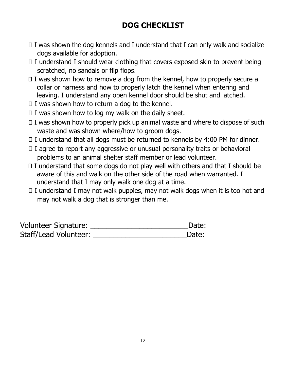## **DOG CHECKLIST**

- $\Box$  I was shown the dog kennels and I understand that I can only walk and socialize dogs available for adoption.
- $\Box$  I understand I should wear clothing that covers exposed skin to prevent being scratched, no sandals or flip flops.
- $\Box$  I was shown how to remove a dog from the kennel, how to properly secure a collar or harness and how to properly latch the kennel when entering and leaving. I understand any open kennel door should be shut and latched.
- $\Box$  I was shown how to return a dog to the kennel.
- $\Box$  I was shown how to log my walk on the daily sheet.
- $\Box$  I was shown how to properly pick up animal waste and where to dispose of such waste and was shown where/how to groom dogs.
- $\Box$  I understand that all dogs must be returned to kennels by 4:00 PM for dinner.
- $\Box$  I agree to report any aggressive or unusual personality traits or behavioral problems to an animal shelter staff member or lead volunteer.
- $\Box$  I understand that some dogs do not play well with others and that I should be aware of this and walk on the other side of the road when warranted. I understand that I may only walk one dog at a time.
- $\Box$  I understand I may not walk puppies, may not walk dogs when it is too hot and may not walk a dog that is stronger than me.

| <b>Volunteer Signature:</b> | Date: |
|-----------------------------|-------|
| Staff/Lead Volunteer:       | Date: |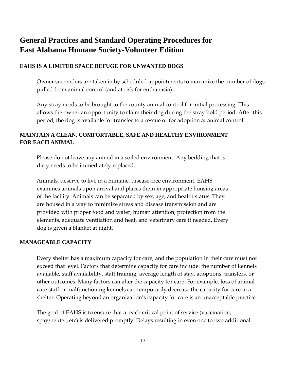## **General Practices and Standard Operating Procedures for East Alabama Humane Society-Volunteer Edition**

#### **EAHS IS A LIMITED SPACE REFUGE FOR UNWANTED DOGS**

Owner surrenders are taken in by scheduled appointments to maximize the number of dogs pulled from animal control (and at risk for euthanasia).

Any stray needs to be brought to the county animal control for initial processing. This allows the owner an opportunity to claim their dog during the stray hold period. After this period, the dog is available for transfer to a rescue or for adoption at animal control.

### **MAINTAIN A CLEAN, COMFORTABLE, SAFE AND HEALTHY ENVIRONMENT FOR EACH ANIMAL**

Please do not leave any animal in a soiled environment. Any bedding that is dirty needs to be immediately replaced.

Animals, deserve to live in a humane, disease-free environment. EAHS examines animals upon arrival and places them in appropriate housing areas of the facility. Animals can be separated by sex, age, and health status. They are housed in a way to minimize stress and disease transmission and are provided with proper food and water, human attention, protection from the elements, adequate ventilation and heat, and veterinary care if needed. Every dog is given a blanket at night.

#### **MANAGEABLE CAPACITY**

Every shelter has a maximum capacity for care, and the population in their care must not exceed that level. Factors that determine capacity for care include: the number of kennels available, staff availability, staff training, average length of stay, adoptions, transfers, or other outcomes. Many factors can alter the capacity for care. For example, loss of animal care staff or malfunctioning kennels can temporarily decrease the capacity for care in a shelter. Operating beyond an organization's capacity for care is an unacceptable practice.

The goal of EAHS is to ensure that at each critical point of service (vaccination, spay/neuter, etc) is delivered promptly. Delays resulting in even one to two additional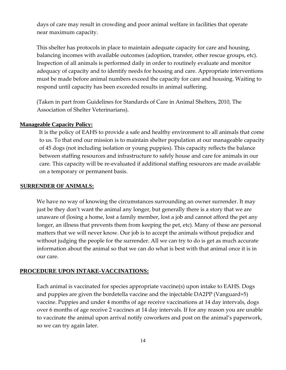days of care may result in crowding and poor animal welfare in facilities that operate near maximum capacity.

This shelter has protocols in place to maintain adequate capacity for care and housing, balancing incomes with available outcomes (adoption, transfer, other rescue groups, etc). Inspection of all animals is performed daily in order to routinely evaluate and monitor adequacy of capacity and to identify needs for housing and care. Appropriate interventions must be made before animal numbers exceed the capacity for care and housing. Waiting to respond until capacity has been exceeded results in animal suffering.

(Taken in part from Guidelines for Standards of Care in Animal Shelters, 2010, The Association of Shelter Veterinarians).

#### **Manageable Capacity Policy:**

It is the policy of EAHS to provide a safe and healthy environment to all animals that come to us. To that end our mission is to maintain shelter population at our manageable capacity of 45 dogs (not including isolation or young puppies). This capacity reflects the balance between staffing resources and infrastructure to safely house and care for animals in our care. This capacity will be re-evaluated if additional staffing resources are made available on a temporary or permanent basis.

#### **SURRENDER OF ANIMALS:**

We have no way of knowing the circumstances surrounding an owner surrender. It may just be they don't want the animal any longer, but generally there is a story that we are unaware of (losing a home, lost a family member, lost a job and cannot afford the pet any longer, an illness that prevents them from keeping the pet, etc). Many of these are personal matters that we will never know. Our job is to accept the animals without prejudice and without judging the people for the surrender. All we can try to do is get as much accurate information about the animal so that we can do what is best with that animal once it is in our care.

#### **PROCEDURE UPON INTAKE-VACCINATIONS:**

Each animal is vaccinated for species appropriate vaccine(s) upon intake to EAHS. Dogs and puppies are given the bordetella vaccine and the injectable DA2PP (Vanguard+5) vaccine. Puppies and under 4 months of age receive vaccinations at 14 day intervals, dogs over 6 months of age receive 2 vaccines at 14 day intervals. If for any reason you are unable to vaccinate the animal upon arrival notify coworkers and post on the animal's paperwork, so we can try again later.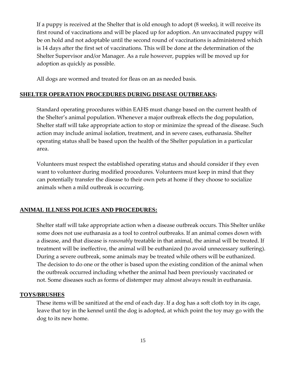If a puppy is received at the Shelter that is old enough to adopt (8 weeks), it will receive its first round of vaccinations and will be placed up for adoption. An unvaccinated puppy will be on hold and not adoptable until the second round of vaccinations is administered which is 14 days after the first set of vaccinations. This will be done at the determination of the Shelter Supervisor and/or Manager. As a rule however, puppies will be moved up for adoption as quickly as possible.

All dogs are wormed and treated for fleas on an as needed basis.

### **SHELTER OPERATION PROCEDURES DURING DISEASE OUTBREAKS:**

Standard operating procedures within EAHS must change based on the current health of the Shelter's animal population. Whenever a major outbreak effects the dog population, Shelter staff will take appropriate action to stop or minimize the spread of the disease. Such action may include animal isolation, treatment, and in severe cases, euthanasia. Shelter operating status shall be based upon the health of the Shelter population in a particular area.

Volunteers must respect the established operating status and should consider if they even want to volunteer during modified procedures. Volunteers must keep in mind that they can potentially transfer the disease to their own pets at home if they choose to socialize animals when a mild outbreak is occurring.

#### **ANIMAL ILLNESS POLICIES AND PROCEDURES:**

Shelter staff will take appropriate action when a disease outbreak occurs. This Shelter unlike some does not use euthanasia as a tool to control outbreaks. If an animal comes down with a disease, and that disease is *reasonably* treatable in that animal, the animal will be treated. If treatment will be ineffective, the animal will be euthanized (to avoid unnecessary suffering). During a severe outbreak, some animals may be treated while others will be euthanized. The decision to do one or the other is based upon the existing condition of the animal when the outbreak occurred including whether the animal had been previously vaccinated or not. Some diseases such as forms of distemper may almost always result in euthanasia.

#### **TOYS/BRUSHES**

These items will be sanitized at the end of each day. If a dog has a soft cloth toy in its cage, leave that toy in the kennel until the dog is adopted, at which point the toy may go with the dog to its new home.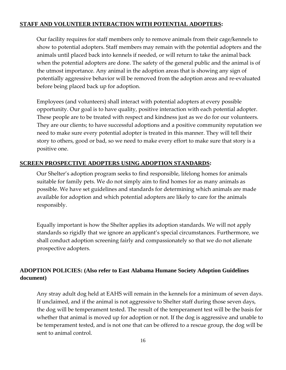## **STAFF AND VOLUNTEER INTERACTION WITH POTENTIAL ADOPTERS:**

Our facility requires for staff members only to remove animals from their cage/kennels to show to potential adopters. Staff members may remain with the potential adopters and the animals until placed back into kennels if needed, or will return to take the animal back when the potential adopters are done. The safety of the general public and the animal is of the utmost importance. Any animal in the adoption areas that is showing any sign of potentially aggressive behavior will be removed from the adoption areas and re-evaluated before being placed back up for adoption.

Employees (and volunteers) shall interact with potential adopters at every possible opportunity. Our goal is to have quality, positive interaction with each potential adopter. These people are to be treated with respect and kindness just as we do for our volunteers. They are our clients; to have successful adoptions and a positive community reputation we need to make sure every potential adopter is treated in this manner. They will tell their story to others, good or bad, so we need to make every effort to make sure that story is a positive one.

## **SCREEN PROSPECTIVE ADOPTERS USING ADOPTION STANDARDS:**

Our Shelter's adoption program seeks to find responsible, lifelong homes for animals suitable for family pets. We do not simply aim to find homes for as many animals as possible. We have set guidelines and standards for determining which animals are made available for adoption and which potential adopters are likely to care for the animals responsibly.

Equally important is how the Shelter applies its adoption standards. We will not apply standards so rigidly that we ignore an applicant's special circumstances. Furthermore, we shall conduct adoption screening fairly and compassionately so that we do not alienate prospective adopters.

## **ADOPTION POLICIES: (Also refer to East Alabama Humane Society Adoption Guidelines document)**

Any stray adult dog held at EAHS will remain in the kennels for a minimum of seven days. If unclaimed, and if the animal is not aggressive to Shelter staff during those seven days, the dog will be temperament tested. The result of the temperament test will be the basis for whether that animal is moved up for adoption or not. If the dog is aggressive and unable to be temperament tested, and is not one that can be offered to a rescue group, the dog will be sent to animal control.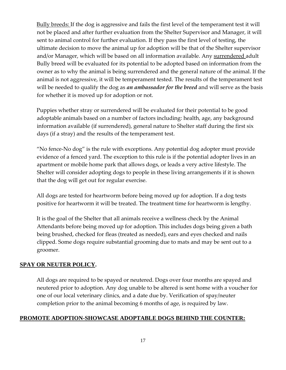Bully breeds: If the dog is aggressive and fails the first level of the temperament test it will not be placed and after further evaluation from the Shelter Supervisor and Manager, it will sent to animal control for further evaluation. If they pass the first level of testing, the ultimate decision to move the animal up for adoption will be that of the Shelter supervisor and/or Manager, which will be based on all information available. Any surrendered adult Bully breed will be evaluated for its potential to be adopted based on information from the owner as to why the animal is being surrendered and the general nature of the animal. If the animal is not aggressive, it will be temperament tested. The results of the temperament test will be needed to qualify the dog as *an ambassador for the breed* and will serve as the basis for whether it is moved up for adoption or not.

Puppies whether stray or surrendered will be evaluated for their potential to be good adoptable animals based on a number of factors including: health, age, any background information available (if surrendered), general nature to Shelter staff during the first six days (if a stray) and the results of the temperament test.

"No fence-No dog" is the rule with exceptions. Any potential dog adopter must provide evidence of a fenced yard. The exception to this rule is if the potential adopter lives in an apartment or mobile home park that allows dogs, or leads a very active lifestyle. The Shelter will consider adopting dogs to people in these living arrangements if it is shown that the dog will get out for regular exercise.

All dogs are tested for heartworm before being moved up for adoption. If a dog tests positive for heartworm it will be treated. The treatment time for heartworm is lengthy.

It is the goal of the Shelter that all animals receive a wellness check by the Animal Attendants before being moved up for adoption. This includes dogs being given a bath being brushed, checked for fleas (treated as needed), ears and eyes checked and nails clipped. Some dogs require substantial grooming due to mats and may be sent out to a groomer.

## **SPAY OR NEUTER POLICY.**

All dogs are required to be spayed or neutered. Dogs over four months are spayed and neutered prior to adoption. Any dog unable to be altered is sent home with a voucher for one of our local veterinary clinics, and a date due by. Verification of spay/neuter completion prior to the animal becoming 6 months of age, is required by law.

## **PROMOTE ADOPTION-SHOWCASE ADOPTABLE DOGS BEHIND THE COUNTER:**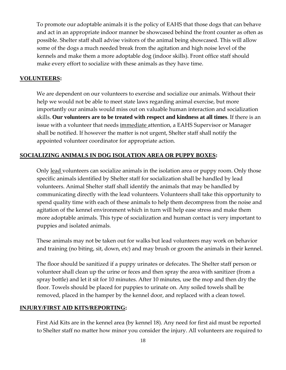To promote our adoptable animals it is the policy of EAHS that those dogs that can behave and act in an appropriate indoor manner be showcased behind the front counter as often as possible. Shelter staff shall advise visitors of the animal being showcased. This will allow some of the dogs a much needed break from the agitation and high noise level of the kennels and make them a more adoptable dog (indoor skills). Front office staff should make every effort to socialize with these animals as they have time.

#### **VOLUNTEERS:**

We are dependent on our volunteers to exercise and socialize our animals. Without their help we would not be able to meet state laws regarding animal exercise, but more importantly our animals would miss out on valuable human interaction and socialization skills. **Our volunteers are to be treated with respect and kindness at all times**. If there is an issue with a volunteer that needs immediate attention, a EAHS Supervisor or Manager shall be notified. If however the matter is not urgent, Shelter staff shall notify the appointed volunteer coordinator for appropriate action.

### **SOCIALIZING ANIMALS IN DOG ISOLATION AREA OR PUPPY BOXES:**

Only lead volunteers can socialize animals in the isolation area or puppy room. Only those specific animals identified by Shelter staff for socialization shall be handled by lead volunteers. Animal Shelter staff shall identify the animals that may be handled by communicating directly with the lead volunteers. Volunteers shall take this opportunity to spend quality time with each of these animals to help them decompress from the noise and agitation of the kennel environment which in turn will help ease stress and make them more adoptable animals. This type of socialization and human contact is very important to puppies and isolated animals.

These animals may not be taken out for walks but lead volunteers may work on behavior and training (no biting, sit, down, etc) and may brush or groom the animals in their kennel.

The floor should be sanitized if a puppy urinates or defecates. The Shelter staff person or volunteer shall clean up the urine or feces and then spray the area with sanitizer (from a spray bottle) and let it sit for 10 minutes. After 10 minutes, use the mop and then dry the floor. Towels should be placed for puppies to urinate on. Any soiled towels shall be removed, placed in the hamper by the kennel door, and replaced with a clean towel.

#### **INJURY/FIRST AID KITS/REPORTING:**

First Aid Kits are in the kennel area (by kennel 18). Any need for first aid must be reported to Shelter staff no matter how minor you consider the injury. All volunteers are required to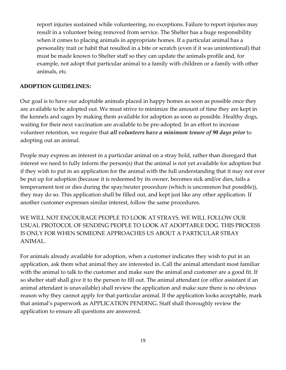report injuries sustained while volunteering, no exceptions. Failure to report injuries may result in a volunteer being removed from service. The Shelter has a huge responsibility when it comes to placing animals in appropriate homes. If a particular animal has a personality trait or habit that resulted in a bite or scratch (even if it was unintentional) that must be made known to Shelter staff so they can update the animals profile and, for example, not adopt that particular animal to a family with children or a family with other animals, etc.

### **ADOPTION GUIDELINES:**

Our goal is to have our adoptable animals placed in happy homes as soon as possible once they are available to be adopted out. We must strive to minimize the amount of time they are kept in the kennels and cages by making them available for adoption as soon as possible. Healthy dogs, waiting for their next vaccination are available to be pre-adopted. In an effort to increase volunteer retention, we require that *all volunteers have a minimum tenure of 90 days prior* to adopting out an animal.

People may express an interest in a particular animal on a stray hold, rather than disregard that interest we need to fully inform the person(s) that the animal is not yet available for adoption but if they wish to put in an application for the animal with the full understanding that it may not ever be put up for adoption (because it is redeemed by its owner, becomes sick and/or dies, fails a temperament test or dies during the spay/neuter procedure (which is uncommon but possible)), they may do so. This application shall be filled out, and kept just like any other application. If another customer expresses similar interest, follow the same procedures.

WE WILL NOT ENCOURAGE PEOPLE TO LOOK AT STRAYS. WE WILL FOLLOW OUR USUAL PROTOCOL OF SENDING PEOPLE TO LOOK AT ADOPTABLE DOG. THIS PROCESS IS ONLY FOR WHEN SOMEONE APPROACHES US ABOUT A PARTICULAR STRAY ANIMAL.

For animals already available for adoption, when a customer indicates they wish to put in an application, ask them what animal they are interested in. Call the animal attendant most familiar with the animal to talk to the customer and make sure the animal and customer are a good fit. If so shelter staff shall give it to the person to fill out. The animal attendant (or office assistant if an animal attendant is unavailable) shall review the application and make sure there is no obvious reason why they cannot apply for that particular animal. If the application looks acceptable, mark that animal's paperwork as APPLICATION PENDING. Staff shall thoroughly review the application to ensure all questions are answered.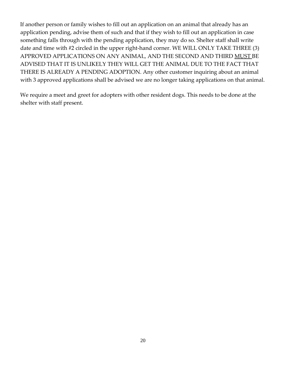If another person or family wishes to fill out an application on an animal that already has an application pending, advise them of such and that if they wish to fill out an application in case something falls through with the pending application, they may do so. Shelter staff shall write date and time with #2 circled in the upper right-hand corner. WE WILL ONLY TAKE THREE (3) APPROVED APPLICATIONS ON ANY ANIMAL, AND THE SECOND AND THIRD MUST BE ADVISED THAT IT IS UNLIKELY THEY WILL GET THE ANIMAL DUE TO THE FACT THAT THERE IS ALREADY A PENDING ADOPTION. Any other customer inquiring about an animal with 3 approved applications shall be advised we are no longer taking applications on that animal.

We require a meet and greet for adopters with other resident dogs. This needs to be done at the shelter with staff present.